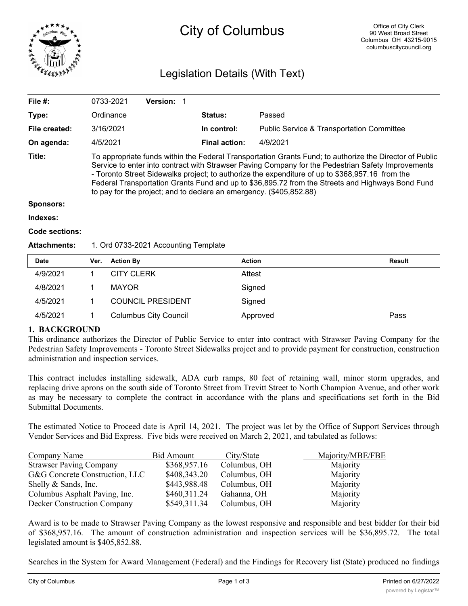

# City of Columbus

# Legislation Details (With Text)

| File $#$ :    | 0733-2021                                                                                                                                                                                                                                                                                                                                                                                                                                                                                   | <b>Version:</b> |                      |                                                      |  |
|---------------|---------------------------------------------------------------------------------------------------------------------------------------------------------------------------------------------------------------------------------------------------------------------------------------------------------------------------------------------------------------------------------------------------------------------------------------------------------------------------------------------|-----------------|----------------------|------------------------------------------------------|--|
| Type:         | Ordinance                                                                                                                                                                                                                                                                                                                                                                                                                                                                                   |                 | <b>Status:</b>       | Passed                                               |  |
| File created: | 3/16/2021                                                                                                                                                                                                                                                                                                                                                                                                                                                                                   |                 | In control:          | <b>Public Service &amp; Transportation Committee</b> |  |
| On agenda:    | 4/5/2021                                                                                                                                                                                                                                                                                                                                                                                                                                                                                    |                 | <b>Final action:</b> | 4/9/2021                                             |  |
| Title:        | To appropriate funds within the Federal Transportation Grants Fund; to authorize the Director of Public<br>Service to enter into contract with Strawser Paving Company for the Pedestrian Safety Improvements<br>- Toronto Street Sidewalks project; to authorize the expenditure of up to \$368,957.16 from the<br>Federal Transportation Grants Fund and up to \$36,895.72 from the Streets and Highways Bond Fund<br>to pay for the project; and to declare an emergency. (\$405,852.88) |                 |                      |                                                      |  |
| Sponsors:     |                                                                                                                                                                                                                                                                                                                                                                                                                                                                                             |                 |                      |                                                      |  |
| Indexes:      |                                                                                                                                                                                                                                                                                                                                                                                                                                                                                             |                 |                      |                                                      |  |

#### **Code sections:**

#### **Attachments:** 1. Ord 0733-2021 Accounting Template

| <b>Date</b> | Ver. | <b>Action By</b>             | <b>Action</b> | <b>Result</b> |
|-------------|------|------------------------------|---------------|---------------|
| 4/9/2021    |      | <b>CITY CLERK</b>            | Attest        |               |
| 4/8/2021    |      | <b>MAYOR</b>                 | Signed        |               |
| 4/5/2021    |      | <b>COUNCIL PRESIDENT</b>     | Signed        |               |
| 4/5/2021    |      | <b>Columbus City Council</b> | Approved      | Pass          |

## **1. BACKGROUND**

This ordinance authorizes the Director of Public Service to enter into contract with Strawser Paving Company for the Pedestrian Safety Improvements - Toronto Street Sidewalks project and to provide payment for construction, construction administration and inspection services.

This contract includes installing sidewalk, ADA curb ramps, 80 feet of retaining wall, minor storm upgrades, and replacing drive aprons on the south side of Toronto Street from Trevitt Street to North Champion Avenue, and other work as may be necessary to complete the contract in accordance with the plans and specifications set forth in the Bid Submittal Documents.

The estimated Notice to Proceed date is April 14, 2021. The project was let by the Office of Support Services through Vendor Services and Bid Express. Five bids were received on March 2, 2021, and tabulated as follows:

| Company Name                   | <b>Bid Amount</b> | City/State   | Majority/MBE/FBE |
|--------------------------------|-------------------|--------------|------------------|
| <b>Strawser Paving Company</b> | \$368,957.16      | Columbus, OH | Majority         |
| G&G Concrete Construction, LLC | \$408,343.20      | Columbus, OH | Majority         |
| Shelly & Sands, Inc.           | \$443,988.48      | Columbus, OH | Majority         |
| Columbus Asphalt Paving, Inc.  | \$460,311.24      | Gahanna, OH  | Majority         |
| Decker Construction Company    | \$549,311.34      | Columbus, OH | Majority         |

Award is to be made to Strawser Paving Company as the lowest responsive and responsible and best bidder for their bid of \$368,957.16. The amount of construction administration and inspection services will be \$36,895.72. The total legislated amount is \$405,852.88.

Searches in the System for Award Management (Federal) and the Findings for Recovery list (State) produced no findings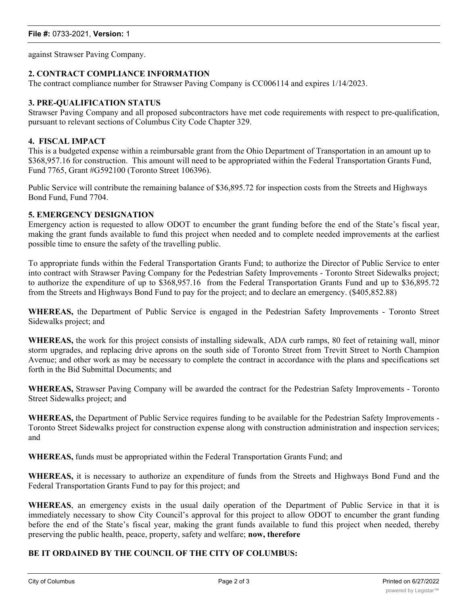against Strawser Paving Company.

# **2. CONTRACT COMPLIANCE INFORMATION**

The contract compliance number for Strawser Paving Company is CC006114 and expires 1/14/2023.

# **3. PRE-QUALIFICATION STATUS**

Strawser Paving Company and all proposed subcontractors have met code requirements with respect to pre-qualification, pursuant to relevant sections of Columbus City Code Chapter 329.

### **4. FISCAL IMPACT**

This is a budgeted expense within a reimbursable grant from the Ohio Department of Transportation in an amount up to \$368,957.16 for construction. This amount will need to be appropriated within the Federal Transportation Grants Fund, Fund 7765, Grant #G592100 (Toronto Street 106396).

Public Service will contribute the remaining balance of \$36,895.72 for inspection costs from the Streets and Highways Bond Fund, Fund 7704.

## **5. EMERGENCY DESIGNATION**

Emergency action is requested to allow ODOT to encumber the grant funding before the end of the State's fiscal year, making the grant funds available to fund this project when needed and to complete needed improvements at the earliest possible time to ensure the safety of the travelling public.

To appropriate funds within the Federal Transportation Grants Fund; to authorize the Director of Public Service to enter into contract with Strawser Paving Company for the Pedestrian Safety Improvements - Toronto Street Sidewalks project; to authorize the expenditure of up to \$368,957.16 from the Federal Transportation Grants Fund and up to \$36,895.72 from the Streets and Highways Bond Fund to pay for the project; and to declare an emergency. (\$405,852.88)

**WHEREAS,** the Department of Public Service is engaged in the Pedestrian Safety Improvements - Toronto Street Sidewalks project; and

**WHEREAS,** the work for this project consists of installing sidewalk, ADA curb ramps, 80 feet of retaining wall, minor storm upgrades, and replacing drive aprons on the south side of Toronto Street from Trevitt Street to North Champion Avenue; and other work as may be necessary to complete the contract in accordance with the plans and specifications set forth in the Bid Submittal Documents; and

**WHEREAS,** Strawser Paving Company will be awarded the contract for the Pedestrian Safety Improvements - Toronto Street Sidewalks project; and

**WHEREAS,** the Department of Public Service requires funding to be available for the Pedestrian Safety Improvements - Toronto Street Sidewalks project for construction expense along with construction administration and inspection services; and

**WHEREAS,** funds must be appropriated within the Federal Transportation Grants Fund; and

**WHEREAS,** it is necessary to authorize an expenditure of funds from the Streets and Highways Bond Fund and the Federal Transportation Grants Fund to pay for this project; and

**WHEREAS**, an emergency exists in the usual daily operation of the Department of Public Service in that it is immediately necessary to show City Council's approval for this project to allow ODOT to encumber the grant funding before the end of the State's fiscal year, making the grant funds available to fund this project when needed, thereby preserving the public health, peace, property, safety and welfare; **now, therefore**

# **BE IT ORDAINED BY THE COUNCIL OF THE CITY OF COLUMBUS:**